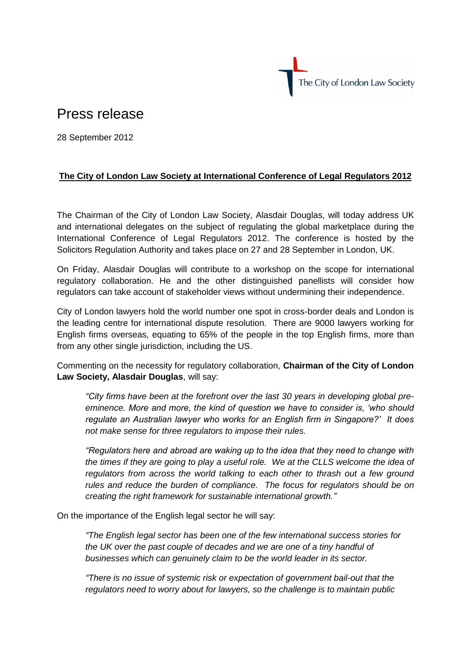

## Press release

28 September 2012

## **The City of London Law Society at International Conference of Legal Regulators 2012**

The Chairman of the City of London Law Society, Alasdair Douglas, will today address UK and international delegates on the subject of regulating the global marketplace during the International Conference of Legal Regulators 2012. The conference is hosted by the Solicitors Regulation Authority and takes place on 27 and 28 September in London, UK.

On Friday, Alasdair Douglas will contribute to a workshop on the scope for international regulatory collaboration. He and the other distinguished panellists will consider how regulators can take account of stakeholder views without undermining their independence.

City of London lawyers hold the world number one spot in cross-border deals and London is the leading centre for international dispute resolution. There are 9000 lawyers working for English firms overseas, equating to 65% of the people in the top English firms, more than from any other single jurisdiction, including the US.

Commenting on the necessity for regulatory collaboration, **Chairman of the City of London Law Society, Alasdair Douglas**, will say:

*"City firms have been at the forefront over the last 30 years in developing global preeminence. More and more, the kind of question we have to consider is, 'who should regulate an Australian lawyer who works for an English firm in Singapore?' It does not make sense for three regulators to impose their rules.* 

*"Regulators here and abroad are waking up to the idea that they need to change with the times if they are going to play a useful role. We at the CLLS welcome the idea of regulators from across the world talking to each other to thrash out a few ground rules and reduce the burden of compliance. The focus for regulators should be on creating the right framework for sustainable international growth."*

On the importance of the English legal sector he will say:

*"The English legal sector has been one of the few international success stories for the UK over the past couple of decades and we are one of a tiny handful of businesses which can genuinely claim to be the world leader in its sector.*

*"There is no issue of systemic risk or expectation of government bail-out that the regulators need to worry about for lawyers, so the challenge is to maintain public*